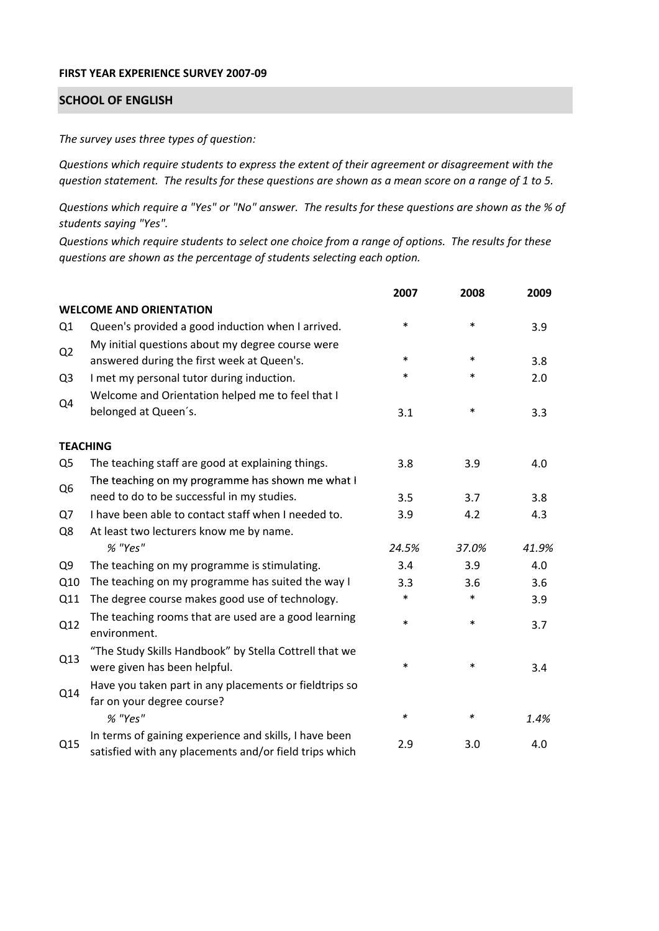## **FIRST YEAR EXPERIENCE SURVEY 2007‐09**

## **SCHOOL OF ENGLISH**

*The survey uses three types of question:*

*Questions which require students to express the extent of their agreement or disagreement with the* question statement. The results for these questions are shown as a mean score on a range of 1 to 5.

Questions which require a "Yes" or "No" answer. The results for these questions are shown as the % of *students saying "Yes".*

Questions which require students to select one choice from a range of options. The results for these *questions are shown as the percentage of students selecting each option.*

|                |                                                                                                                  | 2007   | 2008   | 2009  |
|----------------|------------------------------------------------------------------------------------------------------------------|--------|--------|-------|
|                | <b>WELCOME AND ORIENTATION</b>                                                                                   |        |        |       |
| Q1             | Queen's provided a good induction when I arrived.                                                                | *      | $\ast$ | 3.9   |
| Q <sub>2</sub> | My initial questions about my degree course were<br>answered during the first week at Queen's.                   | $\ast$ | $\ast$ | 3.8   |
| Q <sub>3</sub> | I met my personal tutor during induction.                                                                        | $\ast$ | $\ast$ | 2.0   |
| Q4             | Welcome and Orientation helped me to feel that I<br>belonged at Queen's.                                         | 3.1    | $\ast$ | 3.3   |
|                | <b>TEACHING</b>                                                                                                  |        |        |       |
| Q <sub>5</sub> | The teaching staff are good at explaining things.                                                                | 3.8    | 3.9    | 4.0   |
|                | The teaching on my programme has shown me what I                                                                 |        |        |       |
| Q <sub>6</sub> | need to do to be successful in my studies.                                                                       | 3.5    | 3.7    | 3.8   |
| Q7             | I have been able to contact staff when I needed to.                                                              | 3.9    | 4.2    | 4.3   |
| Q8             | At least two lecturers know me by name.                                                                          |        |        |       |
|                | % "Yes"                                                                                                          | 24.5%  | 37.0%  | 41.9% |
| Q <sub>9</sub> | The teaching on my programme is stimulating.                                                                     | 3.4    | 3.9    | 4.0   |
| Q10            | The teaching on my programme has suited the way I                                                                | 3.3    | 3.6    | 3.6   |
| Q11            | The degree course makes good use of technology.                                                                  | $\ast$ | $\ast$ | 3.9   |
| Q12            | The teaching rooms that are used are a good learning<br>environment.                                             | $\ast$ | $\ast$ | 3.7   |
| Q13            | "The Study Skills Handbook" by Stella Cottrell that we<br>were given has been helpful.                           | *      | $\ast$ | 3.4   |
| Q14            | Have you taken part in any placements or fieldtrips so<br>far on your degree course?                             |        |        |       |
|                | % "Yes"                                                                                                          | ∗      | ∗      | 1.4%  |
| Q15            | In terms of gaining experience and skills, I have been<br>satisfied with any placements and/or field trips which | 2.9    | 3.0    | 4.0   |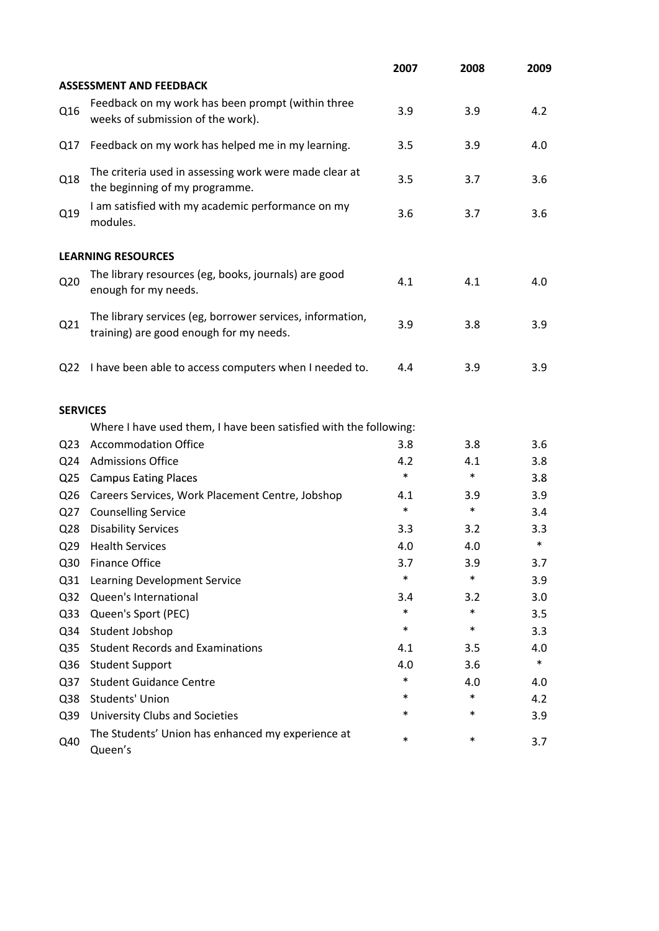|                 |                                                                                                      | 2007   | 2008   | 2009   |
|-----------------|------------------------------------------------------------------------------------------------------|--------|--------|--------|
|                 | <b>ASSESSMENT AND FEEDBACK</b>                                                                       |        |        |        |
| Q16             | Feedback on my work has been prompt (within three<br>weeks of submission of the work).               | 3.9    | 3.9    | 4.2    |
| Q17             | Feedback on my work has helped me in my learning.                                                    | 3.5    | 3.9    | 4.0    |
| Q18             | The criteria used in assessing work were made clear at<br>the beginning of my programme.             | 3.5    | 3.7    | 3.6    |
| Q19             | I am satisfied with my academic performance on my<br>modules.                                        | 3.6    | 3.7    | 3.6    |
|                 | <b>LEARNING RESOURCES</b>                                                                            |        |        |        |
| Q <sub>20</sub> | The library resources (eg, books, journals) are good<br>enough for my needs.                         | 4.1    | 4.1    | 4.0    |
| Q21             | The library services (eg, borrower services, information,<br>training) are good enough for my needs. | 3.9    | 3.8    | 3.9    |
| Q <sub>22</sub> | I have been able to access computers when I needed to.                                               | 4.4    | 3.9    | 3.9    |
| <b>SERVICES</b> |                                                                                                      |        |        |        |
|                 | Where I have used them, I have been satisfied with the following:                                    |        |        |        |
| Q <sub>23</sub> | <b>Accommodation Office</b>                                                                          | 3.8    | 3.8    | 3.6    |
| Q24             | <b>Admissions Office</b>                                                                             | 4.2    | 4.1    | 3.8    |
| Q <sub>25</sub> | <b>Campus Eating Places</b>                                                                          | $\ast$ | $\ast$ | 3.8    |
| Q26             | Careers Services, Work Placement Centre, Jobshop                                                     | 4.1    | 3.9    | 3.9    |
| Q27             | <b>Counselling Service</b>                                                                           | $\ast$ | $\ast$ | 3.4    |
| Q <sub>28</sub> | <b>Disability Services</b>                                                                           | 3.3    | 3.2    | 3.3    |
| Q <sub>29</sub> | <b>Health Services</b>                                                                               | 4.0    | 4.0    | $\ast$ |
| Q30             | <b>Finance Office</b>                                                                                | 3.7    | 3.9    | 3.7    |
| Q <sub>31</sub> | Learning Development Service                                                                         | *      | $\ast$ | 3.9    |
| Q <sub>32</sub> | Queen's International                                                                                | 3.4    | 3.2    | 3.0    |
| Q <sub>33</sub> | Queen's Sport (PEC)                                                                                  | $\ast$ | $\ast$ | 3.5    |
| Q34             | Student Jobshop                                                                                      | $\ast$ | $\ast$ | 3.3    |
| Q <sub>35</sub> | <b>Student Records and Examinations</b>                                                              | 4.1    | 3.5    | 4.0    |
| Q36             | <b>Student Support</b>                                                                               | 4.0    | 3.6    | $\ast$ |
| Q <sub>37</sub> | <b>Student Guidance Centre</b>                                                                       | *      | 4.0    | 4.0    |
| Q38             | Students' Union                                                                                      | *      | $\ast$ | 4.2    |
| Q39             | University Clubs and Societies                                                                       | *      | $\ast$ | 3.9    |
| Q40             | The Students' Union has enhanced my experience at<br>Queen's                                         | *      | $\ast$ | 3.7    |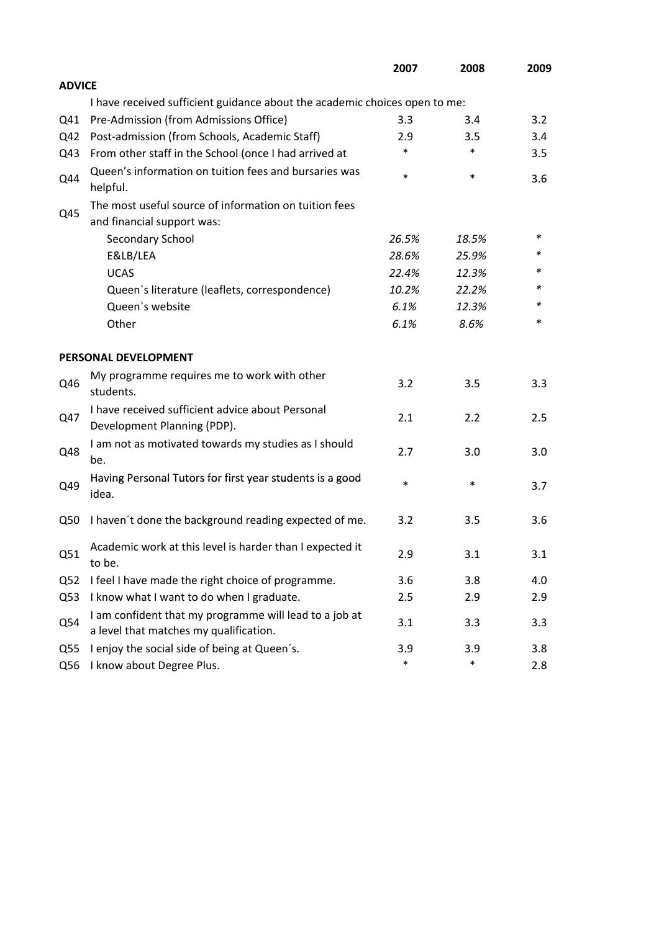|                 |                                                                                                  | 2007   | 2008   | 2009 |
|-----------------|--------------------------------------------------------------------------------------------------|--------|--------|------|
| <b>ADVICE</b>   |                                                                                                  |        |        |      |
|                 | I have received sufficient guidance about the academic choices open to me:                       |        |        |      |
| Q41             | Pre-Admission (from Admissions Office)                                                           | 3.3    | 3.4    | 3.2  |
| Q42             | Post-admission (from Schools, Academic Staff)                                                    | 2.9    | 3.5    | 3.4  |
| Q43             | From other staff in the School (once I had arrived at                                            | $\ast$ | $\ast$ | 3.5  |
| Q44             | Queen's information on tuition fees and bursaries was<br>helpful.                                | $\ast$ | $\ast$ | 3.6  |
|                 | The most useful source of information on tuition fees                                            |        |        |      |
| Q45             | and financial support was:                                                                       |        |        |      |
|                 | Secondary School                                                                                 | 26.5%  | 18.5%  | ∗    |
|                 | E&LB/LEA                                                                                         | 28.6%  | 25.9%  | *    |
|                 | <b>UCAS</b>                                                                                      | 22.4%  | 12.3%  |      |
|                 | Queen's literature (leaflets, correspondence)                                                    | 10.2%  | 22.2%  | *    |
|                 | Queen's website                                                                                  | 6.1%   | 12.3%  | *    |
|                 | Other                                                                                            | 6.1%   | 8.6%   | *    |
|                 | PERSONAL DEVELOPMENT                                                                             |        |        |      |
| Q46             | My programme requires me to work with other<br>students.                                         | 3.2    | 3.5    | 3.3  |
| Q47             | I have received sufficient advice about Personal<br>Development Planning (PDP).                  | 2.1    | 2.2    | 2.5  |
| Q48             | I am not as motivated towards my studies as I should<br>be.                                      | 2.7    | 3.0    | 3.0  |
| Q49             | Having Personal Tutors for first year students is a good<br>idea.                                | $\ast$ | $\ast$ | 3.7  |
| Q50             | I haven't done the background reading expected of me.                                            | 3.2    | 3.5    | 3.6  |
| Q51             | Academic work at this level is harder than I expected it<br>to be.                               | 2.9    | 3.1    | 3.1  |
| Q <sub>52</sub> | I feel I have made the right choice of programme.                                                | 3.6    | 3.8    | 4.0  |
| Q53             | I know what I want to do when I graduate.                                                        | 2.5    | 2.9    | 2.9  |
| Q54             | I am confident that my programme will lead to a job at<br>a level that matches my qualification. | 3.1    | 3.3    | 3.3  |
| Q55             | I enjoy the social side of being at Queen's.                                                     | 3.9    | 3.9    | 3.8  |
| Q56             | I know about Degree Plus.                                                                        | $\ast$ | $\ast$ | 2.8  |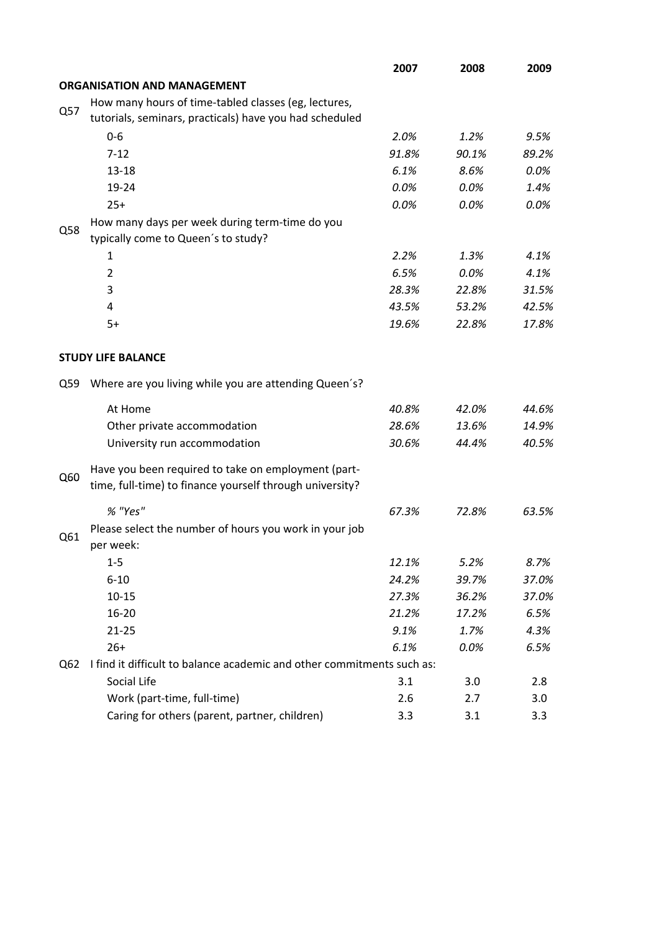|     |                                                                                                                 | 2007  | 2008  | 2009  |
|-----|-----------------------------------------------------------------------------------------------------------------|-------|-------|-------|
|     | <b>ORGANISATION AND MANAGEMENT</b>                                                                              |       |       |       |
|     | How many hours of time-tabled classes (eg, lectures,                                                            |       |       |       |
| Q57 | tutorials, seminars, practicals) have you had scheduled                                                         |       |       |       |
|     | $0 - 6$                                                                                                         | 2.0%  | 1.2%  | 9.5%  |
|     | $7 - 12$                                                                                                        | 91.8% | 90.1% | 89.2% |
|     | $13 - 18$                                                                                                       | 6.1%  | 8.6%  | 0.0%  |
|     | 19-24                                                                                                           | 0.0%  | 0.0%  | 1.4%  |
|     | $25+$                                                                                                           | 0.0%  | 0.0%  | 0.0%  |
|     | How many days per week during term-time do you                                                                  |       |       |       |
| Q58 | typically come to Queen's to study?                                                                             |       |       |       |
|     | 1                                                                                                               | 2.2%  | 1.3%  | 4.1%  |
|     | $\overline{2}$                                                                                                  | 6.5%  | 0.0%  | 4.1%  |
|     | 3                                                                                                               | 28.3% | 22.8% | 31.5% |
|     | 4                                                                                                               | 43.5% | 53.2% | 42.5% |
|     | $5+$                                                                                                            | 19.6% | 22.8% | 17.8% |
|     |                                                                                                                 |       |       |       |
|     | <b>STUDY LIFE BALANCE</b>                                                                                       |       |       |       |
| Q59 | Where are you living while you are attending Queen's?                                                           |       |       |       |
|     | At Home                                                                                                         | 40.8% | 42.0% | 44.6% |
|     | Other private accommodation                                                                                     | 28.6% | 13.6% | 14.9% |
|     | University run accommodation                                                                                    | 30.6% | 44.4% | 40.5% |
| Q60 | Have you been required to take on employment (part-<br>time, full-time) to finance yourself through university? |       |       |       |
|     | % "Yes"                                                                                                         | 67.3% | 72.8% | 63.5% |
|     |                                                                                                                 |       |       |       |
| Q61 | Please select the number of hours you work in your job<br>per week:                                             |       |       |       |
|     | $1 - 5$                                                                                                         | 12.1% | 5.2%  | 8.7%  |
|     | $6 - 10$                                                                                                        | 24.2% | 39.7% | 37.0% |
|     | $10 - 15$                                                                                                       | 27.3% | 36.2% | 37.0% |
|     | 16-20                                                                                                           | 21.2% | 17.2% | 6.5%  |
|     | $21 - 25$                                                                                                       | 9.1%  | 1.7%  | 4.3%  |
|     | $26+$                                                                                                           | 6.1%  | 0.0%  | 6.5%  |
| Q62 | I find it difficult to balance academic and other commitments such as:                                          |       |       |       |
|     | Social Life                                                                                                     | 3.1   | 3.0   | 2.8   |
|     | Work (part-time, full-time)                                                                                     | 2.6   | 2.7   | 3.0   |
|     | Caring for others (parent, partner, children)                                                                   | 3.3   | 3.1   | 3.3   |